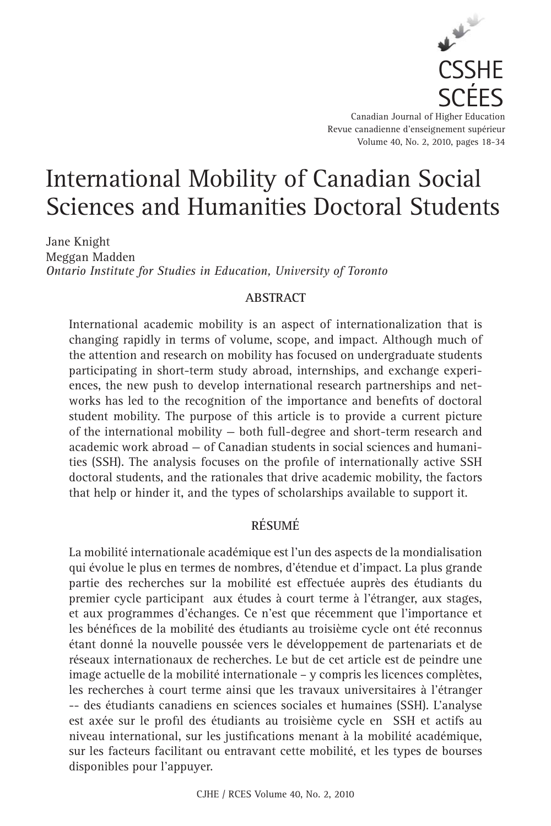

Canadian Journal of Higher Education Revue canadienne d'enseignement supérieur Volume 40, No. 2, 2010, pages 18-34

# International Mobility of Canadian Social Sciences and Humanities Doctoral Students

Jane Knight Meggan Madden *Ontario Institute for Studies in Education, University of Toronto*

## **ABSTRACT**

International academic mobility is an aspect of internationalization that is changing rapidly in terms of volume, scope, and impact. Although much of the attention and research on mobility has focused on undergraduate students participating in short-term study abroad, internships, and exchange experiences, the new push to develop international research partnerships and networks has led to the recognition of the importance and benefits of doctoral student mobility. The purpose of this article is to provide a current picture of the international mobility — both full-degree and short-term research and academic work abroad — of Canadian students in social sciences and humanities (SSH). The analysis focuses on the profile of internationally active SSH doctoral students, and the rationales that drive academic mobility, the factors that help or hinder it, and the types of scholarships available to support it.

# **RÉSUMÉ**

La mobilité internationale académique est l'un des aspects de la mondialisation qui évolue le plus en termes de nombres, d'étendue et d'impact. La plus grande partie des recherches sur la mobilité est effectuée auprès des étudiants du premier cycle participant aux études à court terme à l'étranger, aux stages, et aux programmes d'échanges. Ce n'est que récemment que l'importance et les bénéfices de la mobilité des étudiants au troisième cycle ont été reconnus étant donné la nouvelle poussée vers le développement de partenariats et de réseaux internationaux de recherches. Le but de cet article est de peindre une image actuelle de la mobilité internationale – y compris les licences complètes, les recherches à court terme ainsi que les travaux universitaires à l'étranger -- des étudiants canadiens en sciences sociales et humaines (SSH). L'analyse est axée sur le profi l des étudiants au troisième cycle en SSH et actifs au niveau international, sur les justifications menant à la mobilité académique, sur les facteurs facilitant ou entravant cette mobilité, et les types de bourses disponibles pour l'appuyer.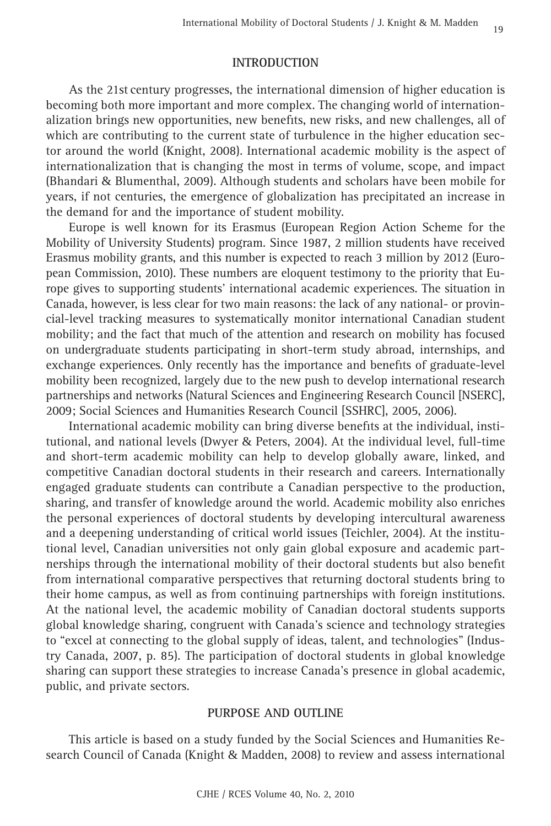#### **INTRODUCTION**

As the 21st century progresses, the international dimension of higher education is becoming both more important and more complex. The changing world of internationalization brings new opportunities, new benefits, new risks, and new challenges, all of which are contributing to the current state of turbulence in the higher education sector around the world (Knight, 2008). International academic mobility is the aspect of internationalization that is changing the most in terms of volume, scope, and impact (Bhandari & Blumenthal, 2009). Although students and scholars have been mobile for years, if not centuries, the emergence of globalization has precipitated an increase in the demand for and the importance of student mobility.

Europe is well known for its Erasmus (European Region Action Scheme for the Mobility of University Students) program. Since 1987, 2 million students have received Erasmus mobility grants, and this number is expected to reach 3 million by 2012 (European Commission, 2010). These numbers are eloquent testimony to the priority that Europe gives to supporting students' international academic experiences. The situation in Canada, however, is less clear for two main reasons: the lack of any national- or provincial-level tracking measures to systematically monitor international Canadian student mobility; and the fact that much of the attention and research on mobility has focused on undergraduate students participating in short-term study abroad, internships, and exchange experiences. Only recently has the importance and benefits of graduate-level mobility been recognized, largely due to the new push to develop international research partnerships and networks (Natural Sciences and Engineering Research Council [NSERC], 2009; Social Sciences and Humanities Research Council [SSHRC], 2005, 2006).

International academic mobility can bring diverse benefits at the individual, institutional, and national levels (Dwyer & Peters, 2004). At the individual level, full-time and short-term academic mobility can help to develop globally aware, linked, and competitive Canadian doctoral students in their research and careers. Internationally engaged graduate students can contribute a Canadian perspective to the production, sharing, and transfer of knowledge around the world. Academic mobility also enriches the personal experiences of doctoral students by developing intercultural awareness and a deepening understanding of critical world issues (Teichler, 2004). At the institutional level, Canadian universities not only gain global exposure and academic partnerships through the international mobility of their doctoral students but also benefit from international comparative perspectives that returning doctoral students bring to their home campus, as well as from continuing partnerships with foreign institutions. At the national level, the academic mobility of Canadian doctoral students supports global knowledge sharing, congruent with Canada's science and technology strategies to "excel at connecting to the global supply of ideas, talent, and technologies" (Industry Canada, 2007, p. 85). The participation of doctoral students in global knowledge sharing can support these strategies to increase Canada's presence in global academic, public, and private sectors.

#### **PURPOSE AND OUTLINE**

This article is based on a study funded by the Social Sciences and Humanities Research Council of Canada (Knight & Madden, 2008) to review and assess international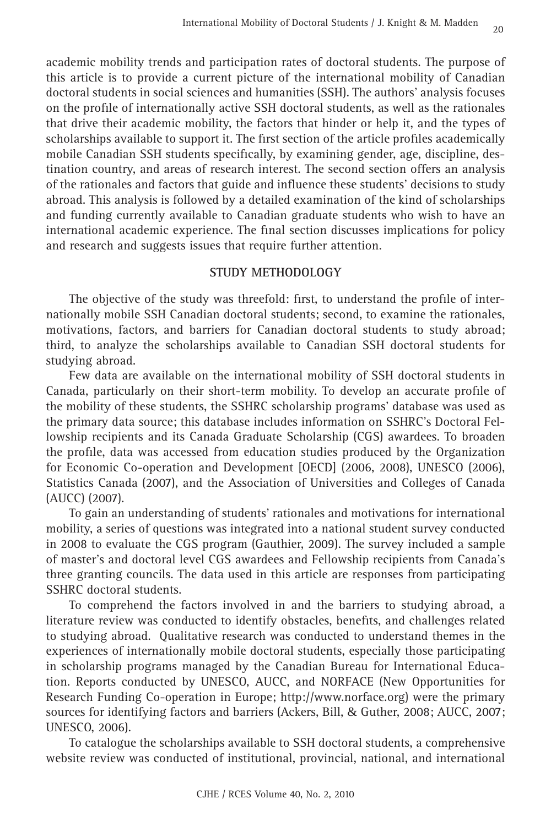academic mobility trends and participation rates of doctoral students. The purpose of this article is to provide a current picture of the international mobility of Canadian doctoral students in social sciences and humanities (SSH). The authors' analysis focuses on the profile of internationally active SSH doctoral students, as well as the rationales that drive their academic mobility, the factors that hinder or help it, and the types of scholarships available to support it. The first section of the article profiles academically mobile Canadian SSH students specifically, by examining gender, age, discipline, destination country, and areas of research interest. The second section offers an analysis of the rationales and factors that guide and influence these students' decisions to study abroad. This analysis is followed by a detailed examination of the kind of scholarships and funding currently available to Canadian graduate students who wish to have an international academic experience. The final section discusses implications for policy and research and suggests issues that require further attention.

#### **STUDY METHODOLOGY**

The objective of the study was threefold: first, to understand the profile of internationally mobile SSH Canadian doctoral students; second, to examine the rationales, motivations, factors, and barriers for Canadian doctoral students to study abroad; third, to analyze the scholarships available to Canadian SSH doctoral students for studying abroad.

Few data are available on the international mobility of SSH doctoral students in Canada, particularly on their short-term mobility. To develop an accurate profile of the mobility of these students, the SSHRC scholarship programs' database was used as the primary data source; this database includes information on SSHRC's Doctoral Fellowship recipients and its Canada Graduate Scholarship (CGS) awardees. To broaden the profile, data was accessed from education studies produced by the Organization for Economic Co-operation and Development [OECD] (2006, 2008), UNESCO (2006), Statistics Canada (2007), and the Association of Universities and Colleges of Canada (AUCC) (2007).

To gain an understanding of students' rationales and motivations for international mobility, a series of questions was integrated into a national student survey conducted in 2008 to evaluate the CGS program (Gauthier, 2009). The survey included a sample of master's and doctoral level CGS awardees and Fellowship recipients from Canada's three granting councils. The data used in this article are responses from participating SSHRC doctoral students.

To comprehend the factors involved in and the barriers to studying abroad, a literature review was conducted to identify obstacles, benefits, and challenges related to studying abroad. Qualitative research was conducted to understand themes in the experiences of internationally mobile doctoral students, especially those participating in scholarship programs managed by the Canadian Bureau for International Education. Reports conducted by UNESCO, AUCC, and NORFACE (New Opportunities for Research Funding Co-operation in Europe; http://www.norface.org) were the primary sources for identifying factors and barriers (Ackers, Bill, & Guther, 2008; AUCC, 2007; UNESCO, 2006).

To catalogue the scholarships available to SSH doctoral students, a comprehensive website review was conducted of institutional, provincial, national, and international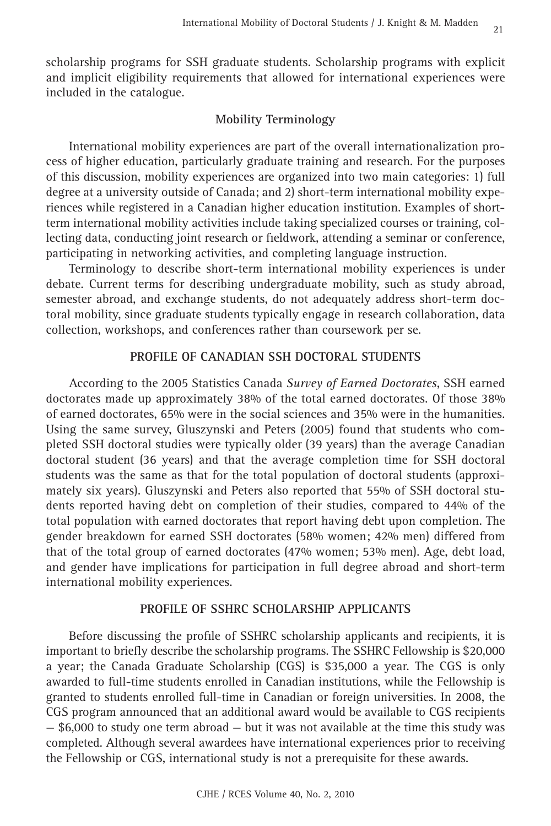scholarship programs for SSH graduate students. Scholarship programs with explicit and implicit eligibility requirements that allowed for international experiences were included in the catalogue.

### **Mobility Terminology**

International mobility experiences are part of the overall internationalization process of higher education, particularly graduate training and research. For the purposes of this discussion, mobility experiences are organized into two main categories: 1) full degree at a university outside of Canada; and 2) short-term international mobility experiences while registered in a Canadian higher education institution. Examples of shortterm international mobility activities include taking specialized courses or training, collecting data, conducting joint research or fieldwork, attending a seminar or conference, participating in networking activities, and completing language instruction.

Terminology to describe short-term international mobility experiences is under debate. Current terms for describing undergraduate mobility, such as study abroad, semester abroad, and exchange students, do not adequately address short-term doctoral mobility, since graduate students typically engage in research collaboration, data collection, workshops, and conferences rather than coursework per se.

#### **PROFILE OF CANADIAN SSH DOCTORAL STUDENTS**

According to the 2005 Statistics Canada *Survey of Earned Doctorates*, SSH earned doctorates made up approximately 38% of the total earned doctorates. Of those 38% of earned doctorates, 65% were in the social sciences and 35% were in the humanities. Using the same survey, Gluszynski and Peters (2005) found that students who completed SSH doctoral studies were typically older (39 years) than the average Canadian doctoral student (36 years) and that the average completion time for SSH doctoral students was the same as that for the total population of doctoral students (approximately six years). Gluszynski and Peters also reported that 55% of SSH doctoral students reported having debt on completion of their studies, compared to 44% of the total population with earned doctorates that report having debt upon completion. The gender breakdown for earned SSH doctorates (58% women; 42% men) differed from that of the total group of earned doctorates (47% women; 53% men). Age, debt load, and gender have implications for participation in full degree abroad and short-term international mobility experiences.

#### **PROFILE OF SSHRC SCHOLARSHIP APPLICANTS**

Before discussing the profile of SSHRC scholarship applicants and recipients, it is important to briefly describe the scholarship programs. The SSHRC Fellowship is \$20,000 a year; the Canada Graduate Scholarship (CGS) is \$35,000 a year. The CGS is only awarded to full-time students enrolled in Canadian institutions, while the Fellowship is granted to students enrolled full-time in Canadian or foreign universities. In 2008, the CGS program announced that an additional award would be available to CGS recipients  $-$  \$6,000 to study one term abroad  $-$  but it was not available at the time this study was completed. Although several awardees have international experiences prior to receiving the Fellowship or CGS, international study is not a prerequisite for these awards.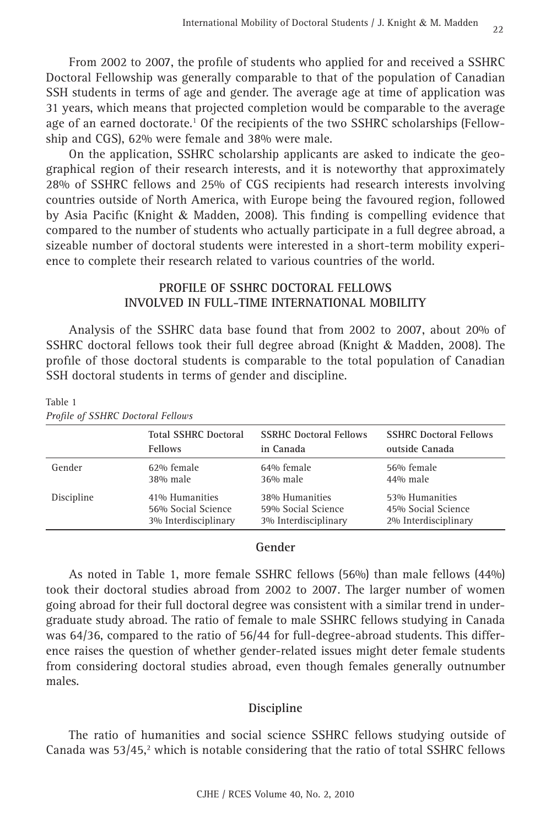From 2002 to 2007, the profile of students who applied for and received a SSHRC Doctoral Fellowship was generally comparable to that of the population of Canadian SSH students in terms of age and gender. The average age at time of application was 31 years, which means that projected completion would be comparable to the average age of an earned doctorate.<sup>1</sup> Of the recipients of the two SSHRC scholarships (Fellowship and CGS), 62% were female and 38% were male.

On the application, SSHRC scholarship applicants are asked to indicate the geographical region of their research interests, and it is noteworthy that approximately 28% of SSHRC fellows and 25% of CGS recipients had research interests involving countries outside of North America, with Europe being the favoured region, followed by Asia Pacific (Knight  $&$  Madden, 2008). This finding is compelling evidence that compared to the number of students who actually participate in a full degree abroad, a sizeable number of doctoral students were interested in a short-term mobility experience to complete their research related to various countries of the world.

### **PROFILE OF SSHRC DOCTORAL FELLOWS INVOLVED IN FULL-TIME INTERNATIONAL MOBILITY**

Analysis of the SSHRC data base found that from 2002 to 2007, about 20% of SSHRC doctoral fellows took their full degree abroad (Knight & Madden, 2008). The profile of those doctoral students is comparable to the total population of Canadian SSH doctoral students in terms of gender and discipline.

|            | <b>Total SSHRC Doctoral</b> | <b>SSRHC Doctoral Fellows</b> | <b>SSHRC Doctoral Fellows</b> |
|------------|-----------------------------|-------------------------------|-------------------------------|
|            | <b>Fellows</b>              | in Canada                     | outside Canada                |
| Gender     | 62% female                  | 64% female                    | 56% female                    |
|            | 38% male                    | 36% male                      | $44%$ male                    |
| Discipline | 41% Humanities              | 38% Humanities                | 53% Humanities                |
|            | 56% Social Science          | 59% Social Science            | 45% Social Science            |
|            | 3% Interdisciplinary        | 3% Interdisciplinary          | 2% Interdisciplinary          |

# *Profi le of SSHRC Doctoral Fellows*

Table 1

#### **Gender**

As noted in Table 1, more female SSHRC fellows (56%) than male fellows (44%) took their doctoral studies abroad from 2002 to 2007. The larger number of women going abroad for their full doctoral degree was consistent with a similar trend in undergraduate study abroad. The ratio of female to male SSHRC fellows studying in Canada was 64/36, compared to the ratio of 56/44 for full-degree-abroad students. This difference raises the question of whether gender-related issues might deter female students from considering doctoral studies abroad, even though females generally outnumber males.

#### **Discipline**

The ratio of humanities and social science SSHRC fellows studying outside of Canada was  $53/45$ ,<sup>2</sup> which is notable considering that the ratio of total SSHRC fellows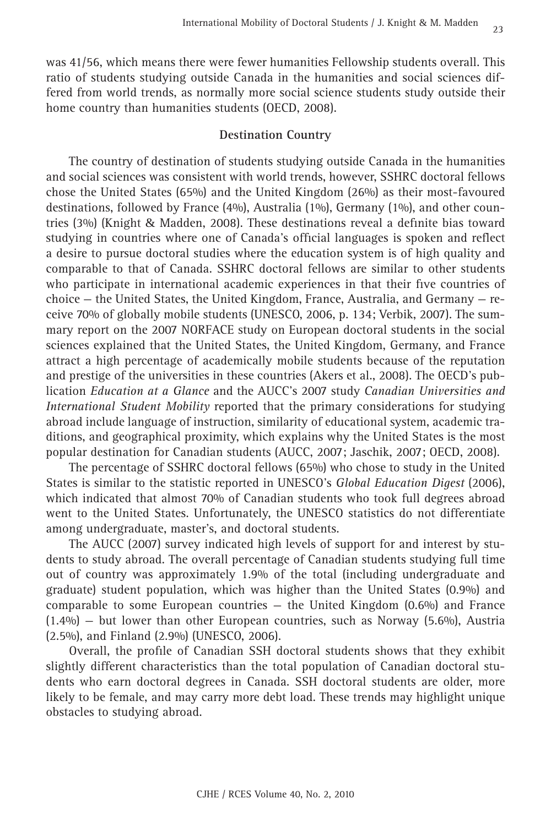was 41/56, which means there were fewer humanities Fellowship students overall. This ratio of students studying outside Canada in the humanities and social sciences differed from world trends, as normally more social science students study outside their home country than humanities students (OECD, 2008).

#### **Destination Country**

The country of destination of students studying outside Canada in the humanities and social sciences was consistent with world trends, however, SSHRC doctoral fellows chose the United States (65%) and the United Kingdom (26%) as their most-favoured destinations, followed by France (4%), Australia (1%), Germany (1%), and other countries (3%) (Knight & Madden, 2008). These destinations reveal a definite bias toward studying in countries where one of Canada's official languages is spoken and reflect a desire to pursue doctoral studies where the education system is of high quality and comparable to that of Canada. SSHRC doctoral fellows are similar to other students who participate in international academic experiences in that their five countries of choice — the United States, the United Kingdom, France, Australia, and Germany — receive 70% of globally mobile students (UNESCO, 2006, p. 134; Verbik, 2007). The summary report on the 2007 NORFACE study on European doctoral students in the social sciences explained that the United States, the United Kingdom, Germany, and France attract a high percentage of academically mobile students because of the reputation and prestige of the universities in these countries (Akers et al., 2008). The OECD's publication *Education at a Glance* and the AUCC's 2007 study *Canadian Universities and International Student Mobility* reported that the primary considerations for studying abroad include language of instruction, similarity of educational system, academic traditions, and geographical proximity, which explains why the United States is the most popular destination for Canadian students (AUCC, 2007; Jaschik, 2007; OECD, 2008).

The percentage of SSHRC doctoral fellows (65%) who chose to study in the United States is similar to the statistic reported in UNESCO's *Global Education Digest* (2006), which indicated that almost 70% of Canadian students who took full degrees abroad went to the United States. Unfortunately, the UNESCO statistics do not differentiate among undergraduate, master's, and doctoral students.

The AUCC (2007) survey indicated high levels of support for and interest by students to study abroad. The overall percentage of Canadian students studying full time out of country was approximately 1.9% of the total (including undergraduate and graduate) student population, which was higher than the United States (0.9%) and comparable to some European countries — the United Kingdom (0.6%) and France  $(1.4\%)$  – but lower than other European countries, such as Norway  $(5.6\%)$ , Austria (2.5%), and Finland (2.9%) (UNESCO, 2006).

Overall, the profile of Canadian SSH doctoral students shows that they exhibit slightly different characteristics than the total population of Canadian doctoral students who earn doctoral degrees in Canada. SSH doctoral students are older, more likely to be female, and may carry more debt load. These trends may highlight unique obstacles to studying abroad.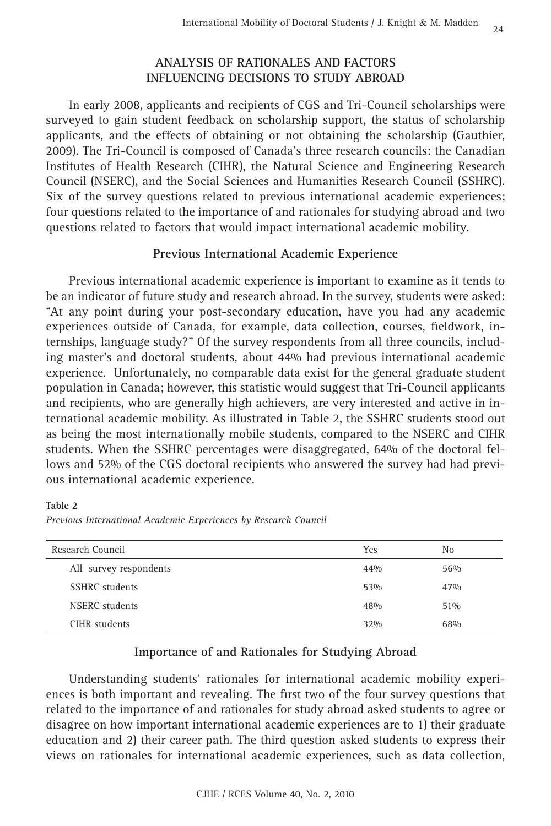## **ANALYSIS OF RATIONALES AND FACTORS INFLUENCING DECISIONS TO STUDY ABROAD**

In early 2008, applicants and recipients of CGS and Tri-Council scholarships were surveyed to gain student feedback on scholarship support, the status of scholarship applicants, and the effects of obtaining or not obtaining the scholarship (Gauthier, 2009). The Tri-Council is composed of Canada's three research councils: the Canadian Institutes of Health Research (CIHR), the Natural Science and Engineering Research Council (NSERC), and the Social Sciences and Humanities Research Council (SSHRC). Six of the survey questions related to previous international academic experiences; four questions related to the importance of and rationales for studying abroad and two questions related to factors that would impact international academic mobility.

#### **Previous International Academic Experience**

Previous international academic experience is important to examine as it tends to be an indicator of future study and research abroad. In the survey, students were asked: "At any point during your post-secondary education, have you had any academic experiences outside of Canada, for example, data collection, courses, fieldwork, internships, language study?" Of the survey respondents from all three councils, including master's and doctoral students, about 44% had previous international academic experience. Unfortunately, no comparable data exist for the general graduate student population in Canada; however, this statistic would suggest that Tri-Council applicants and recipients, who are generally high achievers, are very interested and active in international academic mobility. As illustrated in Table 2, the SSHRC students stood out as being the most internationally mobile students, compared to the NSERC and CIHR students. When the SSHRC percentages were disaggregated, 64% of the doctoral fellows and 52% of the CGS doctoral recipients who answered the survey had had previous international academic experience.

**Table 2**

*Previous International Academic Experiences by Research Council*

| Research Council       | <b>Yes</b> | No  |
|------------------------|------------|-----|
| All survey respondents | 44%        | 56% |
| SSHRC students         | 53%        | 47% |
| NSERC students         | 48%        | 51% |
| CIHR students          | 32%        | 68% |

#### **Importance of and Rationales for Studying Abroad**

Understanding students' rationales for international academic mobility experiences is both important and revealing. The first two of the four survey questions that related to the importance of and rationales for study abroad asked students to agree or disagree on how important international academic experiences are to 1) their graduate education and 2) their career path. The third question asked students to express their views on rationales for international academic experiences, such as data collection,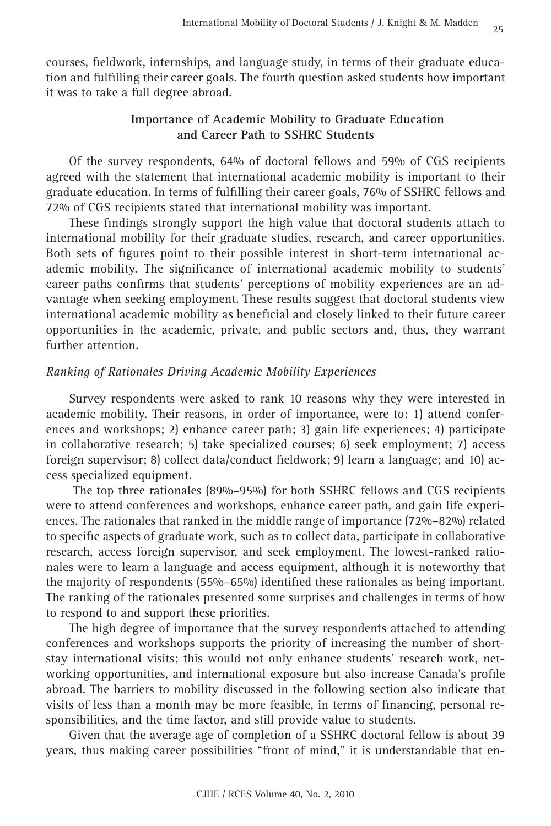courses, fieldwork, internships, and language study, in terms of their graduate education and fulfilling their career goals. The fourth question asked students how important it was to take a full degree abroad.

## **Importance of Academic Mobility to Graduate Education and Career Path to SSHRC Students**

Of the survey respondents, 64% of doctoral fellows and 59% of CGS recipients agreed with the statement that international academic mobility is important to their graduate education. In terms of fulfilling their career goals, 76% of SSHRC fellows and 72% of CGS recipients stated that international mobility was important.

These findings strongly support the high value that doctoral students attach to international mobility for their graduate studies, research, and career opportunities. Both sets of figures point to their possible interest in short-term international academic mobility. The significance of international academic mobility to students' career paths confirms that students' perceptions of mobility experiences are an advantage when seeking employment. These results suggest that doctoral students view international academic mobility as beneficial and closely linked to their future career opportunities in the academic, private, and public sectors and, thus, they warrant further attention.

#### *Ranking of Rationales Driving Academic Mobility Experiences*

Survey respondents were asked to rank 10 reasons why they were interested in academic mobility. Their reasons, in order of importance, were to: 1) attend conferences and workshops; 2) enhance career path; 3) gain life experiences; 4) participate in collaborative research; 5) take specialized courses; 6) seek employment; 7) access foreign supervisor; 8) collect data/conduct fieldwork; 9) learn a language; and 10) access specialized equipment.

 The top three rationales (89%–95%) for both SSHRC fellows and CGS recipients were to attend conferences and workshops, enhance career path, and gain life experiences. The rationales that ranked in the middle range of importance (72%–82%) related to specific aspects of graduate work, such as to collect data, participate in collaborative research, access foreign supervisor, and seek employment. The lowest-ranked rationales were to learn a language and access equipment, although it is noteworthy that the majority of respondents (55%–65%) identified these rationales as being important. The ranking of the rationales presented some surprises and challenges in terms of how to respond to and support these priorities.

The high degree of importance that the survey respondents attached to attending conferences and workshops supports the priority of increasing the number of shortstay international visits; this would not only enhance students' research work, networking opportunities, and international exposure but also increase Canada's profile abroad. The barriers to mobility discussed in the following section also indicate that visits of less than a month may be more feasible, in terms of financing, personal responsibilities, and the time factor, and still provide value to students.

Given that the average age of completion of a SSHRC doctoral fellow is about 39 years, thus making career possibilities "front of mind," it is understandable that en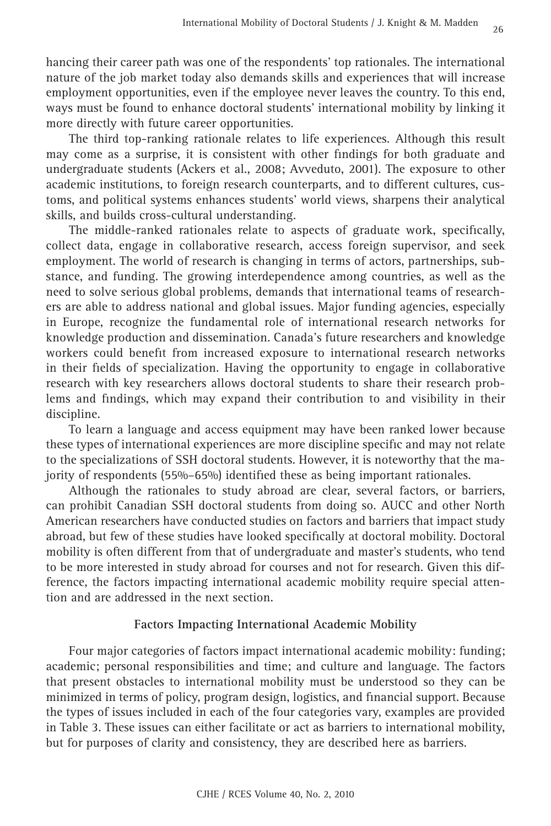hancing their career path was one of the respondents' top rationales. The international nature of the job market today also demands skills and experiences that will increase employment opportunities, even if the employee never leaves the country. To this end, ways must be found to enhance doctoral students' international mobility by linking it more directly with future career opportunities.

The third top-ranking rationale relates to life experiences. Although this result may come as a surprise, it is consistent with other findings for both graduate and undergraduate students (Ackers et al., 2008; Avveduto, 2001). The exposure to other academic institutions, to foreign research counterparts, and to different cultures, customs, and political systems enhances students' world views, sharpens their analytical skills, and builds cross-cultural understanding.

The middle-ranked rationales relate to aspects of graduate work, specifically, collect data, engage in collaborative research, access foreign supervisor, and seek employment. The world of research is changing in terms of actors, partnerships, substance, and funding. The growing interdependence among countries, as well as the need to solve serious global problems, demands that international teams of researchers are able to address national and global issues. Major funding agencies, especially in Europe, recognize the fundamental role of international research networks for knowledge production and dissemination. Canada's future researchers and knowledge workers could benefit from increased exposure to international research networks in their fields of specialization. Having the opportunity to engage in collaborative research with key researchers allows doctoral students to share their research problems and findings, which may expand their contribution to and visibility in their discipline.

To learn a language and access equipment may have been ranked lower because these types of international experiences are more discipline specific and may not relate to the specializations of SSH doctoral students. However, it is noteworthy that the majority of respondents  $(55\% - 65\%)$  identified these as being important rationales.

Although the rationales to study abroad are clear, several factors, or barriers, can prohibit Canadian SSH doctoral students from doing so. AUCC and other North American researchers have conducted studies on factors and barriers that impact study abroad, but few of these studies have looked specifically at doctoral mobility. Doctoral mobility is often different from that of undergraduate and master's students, who tend to be more interested in study abroad for courses and not for research. Given this difference, the factors impacting international academic mobility require special attention and are addressed in the next section.

#### **Factors Impacting International Academic Mobility**

Four major categories of factors impact international academic mobility: funding; academic; personal responsibilities and time; and culture and language. The factors that present obstacles to international mobility must be understood so they can be minimized in terms of policy, program design, logistics, and financial support. Because the types of issues included in each of the four categories vary, examples are provided in Table 3. These issues can either facilitate or act as barriers to international mobility, but for purposes of clarity and consistency, they are described here as barriers.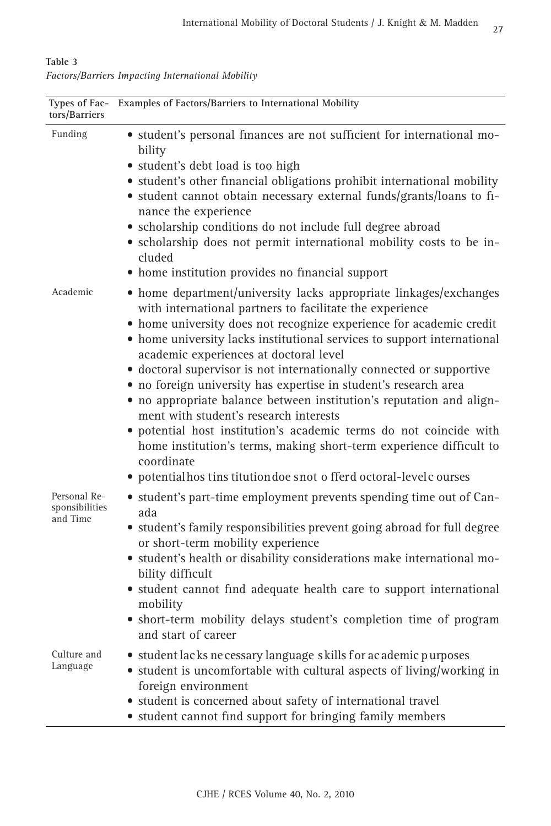| Table 3                                           |  |  |
|---------------------------------------------------|--|--|
| Factors/Barriers Impacting International Mobility |  |  |

| Types of Fac-<br>tors/Barriers             | Examples of Factors/Barriers to International Mobility                                                                                                                                                                                                                                                                                                                                                                                                                                                                                                                                                                                                                                                                                                                                                                    |
|--------------------------------------------|---------------------------------------------------------------------------------------------------------------------------------------------------------------------------------------------------------------------------------------------------------------------------------------------------------------------------------------------------------------------------------------------------------------------------------------------------------------------------------------------------------------------------------------------------------------------------------------------------------------------------------------------------------------------------------------------------------------------------------------------------------------------------------------------------------------------------|
| Funding                                    | • student's personal finances are not sufficient for international mo-<br>bility<br>• student's debt load is too high<br>• student's other financial obligations prohibit international mobility<br>• student cannot obtain necessary external funds/grants/loans to fi-<br>nance the experience<br>· scholarship conditions do not include full degree abroad<br>• scholarship does not permit international mobility costs to be in-<br>cluded<br>• home institution provides no financial support                                                                                                                                                                                                                                                                                                                      |
| Academic                                   | • home department/university lacks appropriate linkages/exchanges<br>with international partners to facilitate the experience<br>• home university does not recognize experience for academic credit<br>• home university lacks institutional services to support international<br>academic experiences at doctoral level<br>· doctoral supervisor is not internationally connected or supportive<br>· no foreign university has expertise in student's research area<br>• no appropriate balance between institution's reputation and align-<br>ment with student's research interests<br>· potential host institution's academic terms do not coincide with<br>home institution's terms, making short-term experience difficult to<br>coordinate<br>• potentialhos tins titution doe snot o fferd octoral-level courses |
| Personal Re-<br>sponsibilities<br>and Time | • student's part-time employment prevents spending time out of Can-<br>ada<br>• student's family responsibilities prevent going abroad for full degree<br>or short-term mobility experience<br>• student's health or disability considerations make international mo-<br>bility difficult<br>• student cannot find adequate health care to support international<br>mobility<br>• short-term mobility delays student's completion time of program<br>and start of career                                                                                                                                                                                                                                                                                                                                                  |
| Culture and<br>Language                    | • student lacks ne cessary language skills for ac ademic purposes<br>• student is uncomfortable with cultural aspects of living/working in<br>foreign environment<br>• student is concerned about safety of international travel<br>• student cannot find support for bringing family members                                                                                                                                                                                                                                                                                                                                                                                                                                                                                                                             |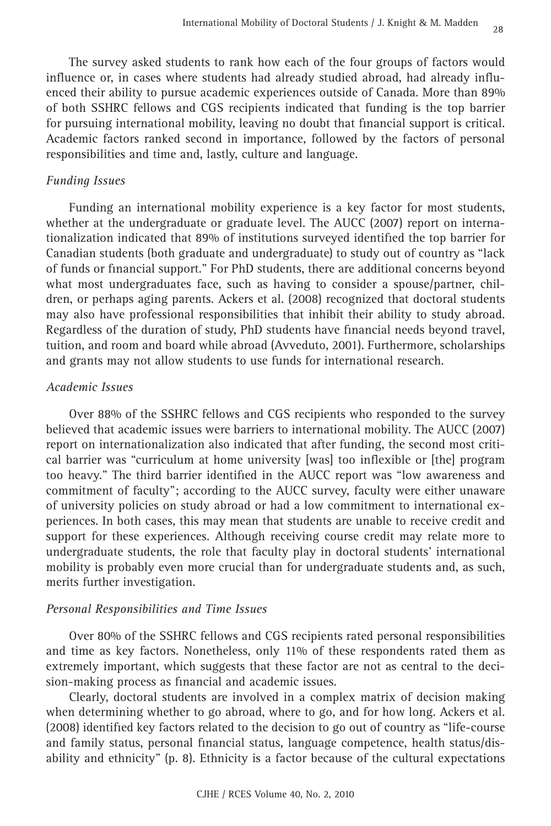The survey asked students to rank how each of the four groups of factors would influence or, in cases where students had already studied abroad, had already influenced their ability to pursue academic experiences outside of Canada. More than 89% of both SSHRC fellows and CGS recipients indicated that funding is the top barrier for pursuing international mobility, leaving no doubt that financial support is critical. Academic factors ranked second in importance, followed by the factors of personal responsibilities and time and, lastly, culture and language.

#### *Funding Issues*

Funding an international mobility experience is a key factor for most students, whether at the undergraduate or graduate level. The AUCC (2007) report on internationalization indicated that 89% of institutions surveyed identified the top barrier for Canadian students (both graduate and undergraduate) to study out of country as "lack of funds or financial support." For PhD students, there are additional concerns beyond what most undergraduates face, such as having to consider a spouse/partner, children, or perhaps aging parents. Ackers et al. (2008) recognized that doctoral students may also have professional responsibilities that inhibit their ability to study abroad. Regardless of the duration of study, PhD students have financial needs beyond travel, tuition, and room and board while abroad (Avveduto, 2001). Furthermore, scholarships and grants may not allow students to use funds for international research.

#### *Academic Issues*

Over 88% of the SSHRC fellows and CGS recipients who responded to the survey believed that academic issues were barriers to international mobility. The AUCC (2007) report on internationalization also indicated that after funding, the second most critical barrier was "curriculum at home university [was] too inflexible or [the] program too heavy." The third barrier identified in the AUCC report was "low awareness and commitment of faculty"; according to the AUCC survey, faculty were either unaware of university policies on study abroad or had a low commitment to international experiences. In both cases, this may mean that students are unable to receive credit and support for these experiences. Although receiving course credit may relate more to undergraduate students, the role that faculty play in doctoral students' international mobility is probably even more crucial than for undergraduate students and, as such, merits further investigation.

#### *Personal Responsibilities and Time Issues*

Over 80% of the SSHRC fellows and CGS recipients rated personal responsibilities and time as key factors. Nonetheless, only 11% of these respondents rated them as extremely important, which suggests that these factor are not as central to the decision-making process as financial and academic issues.

Clearly, doctoral students are involved in a complex matrix of decision making when determining whether to go abroad, where to go, and for how long. Ackers et al. (2008) identified key factors related to the decision to go out of country as "life-course and family status, personal financial status, language competence, health status/disability and ethnicity" (p. 8). Ethnicity is a factor because of the cultural expectations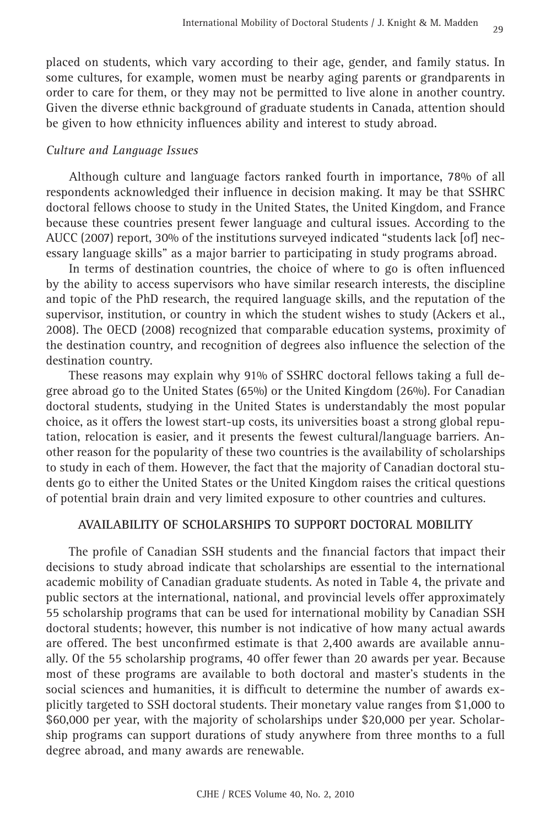placed on students, which vary according to their age, gender, and family status. In some cultures, for example, women must be nearby aging parents or grandparents in order to care for them, or they may not be permitted to live alone in another country. Given the diverse ethnic background of graduate students in Canada, attention should be given to how ethnicity influences ability and interest to study abroad.

#### *Culture and Language Issues*

Although culture and language factors ranked fourth in importance, 78% of all respondents acknowledged their influence in decision making. It may be that SSHRC doctoral fellows choose to study in the United States, the United Kingdom, and France because these countries present fewer language and cultural issues. According to the AUCC (2007) report, 30% of the institutions surveyed indicated "students lack [of] necessary language skills" as a major barrier to participating in study programs abroad.

In terms of destination countries, the choice of where to go is often influenced by the ability to access supervisors who have similar research interests, the discipline and topic of the PhD research, the required language skills, and the reputation of the supervisor, institution, or country in which the student wishes to study (Ackers et al., 2008). The OECD (2008) recognized that comparable education systems, proximity of the destination country, and recognition of degrees also influence the selection of the destination country.

These reasons may explain why 91% of SSHRC doctoral fellows taking a full degree abroad go to the United States (65%) or the United Kingdom (26%). For Canadian doctoral students, studying in the United States is understandably the most popular choice, as it offers the lowest start-up costs, its universities boast a strong global reputation, relocation is easier, and it presents the fewest cultural/language barriers. Another reason for the popularity of these two countries is the availability of scholarships to study in each of them. However, the fact that the majority of Canadian doctoral students go to either the United States or the United Kingdom raises the critical questions of potential brain drain and very limited exposure to other countries and cultures.

## **AVAILABILITY OF SCHOLARSHIPS TO SUPPORT DOCTORAL MOBILITY**

The profile of Canadian SSH students and the financial factors that impact their decisions to study abroad indicate that scholarships are essential to the international academic mobility of Canadian graduate students. As noted in Table 4, the private and public sectors at the international, national, and provincial levels offer approximately 55 scholarship programs that can be used for international mobility by Canadian SSH doctoral students; however, this number is not indicative of how many actual awards are offered. The best unconfirmed estimate is that 2,400 awards are available annually. Of the 55 scholarship programs, 40 offer fewer than 20 awards per year. Because most of these programs are available to both doctoral and master's students in the social sciences and humanities, it is difficult to determine the number of awards explicitly targeted to SSH doctoral students. Their monetary value ranges from \$1,000 to \$60,000 per year, with the majority of scholarships under \$20,000 per year. Scholarship programs can support durations of study anywhere from three months to a full degree abroad, and many awards are renewable.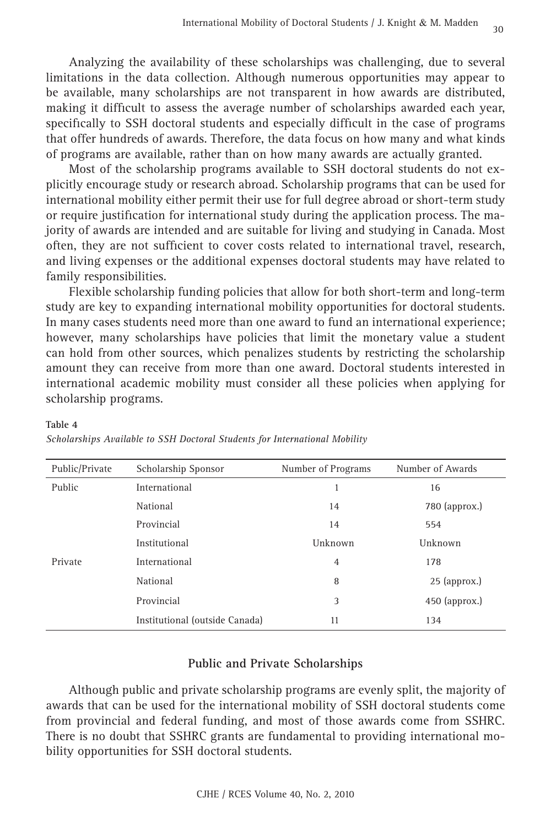Analyzing the availability of these scholarships was challenging, due to several limitations in the data collection. Although numerous opportunities may appear to be available, many scholarships are not transparent in how awards are distributed, making it difficult to assess the average number of scholarships awarded each year, specifically to SSH doctoral students and especially difficult in the case of programs that offer hundreds of awards. Therefore, the data focus on how many and what kinds of programs are available, rather than on how many awards are actually granted.

Most of the scholarship programs available to SSH doctoral students do not explicitly encourage study or research abroad. Scholarship programs that can be used for international mobility either permit their use for full degree abroad or short-term study or require justification for international study during the application process. The majority of awards are intended and are suitable for living and studying in Canada. Most often, they are not sufficient to cover costs related to international travel, research, and living expenses or the additional expenses doctoral students may have related to family responsibilities.

Flexible scholarship funding policies that allow for both short-term and long-term study are key to expanding international mobility opportunities for doctoral students. In many cases students need more than one award to fund an international experience; however, many scholarships have policies that limit the monetary value a student can hold from other sources, which penalizes students by restricting the scholarship amount they can receive from more than one award. Doctoral students interested in international academic mobility must consider all these policies when applying for scholarship programs.

| Public/Private | Scholarship Sponsor            | Number of Programs | Number of Awards |
|----------------|--------------------------------|--------------------|------------------|
| Public         | International                  |                    | 16               |
|                | National                       | 14                 | 780 (approx.)    |
|                | Provincial                     | 14                 | 554              |
|                | Institutional                  | Unknown            | Unknown          |
| Private        | International                  | 4                  | 178              |
|                | National                       | 8                  | $25$ (approx.)   |
|                | Provincial                     | 3                  | $450$ (approx.)  |
|                | Institutional (outside Canada) | 11                 | 134              |

#### **Table 4**

| Scholarships Available to SSH Doctoral Students for International Mobility |  |  |  |  |  |  |  |
|----------------------------------------------------------------------------|--|--|--|--|--|--|--|
|----------------------------------------------------------------------------|--|--|--|--|--|--|--|

## **Public and Private Scholarships**

Although public and private scholarship programs are evenly split, the majority of awards that can be used for the international mobility of SSH doctoral students come from provincial and federal funding, and most of those awards come from SSHRC. There is no doubt that SSHRC grants are fundamental to providing international mobility opportunities for SSH doctoral students.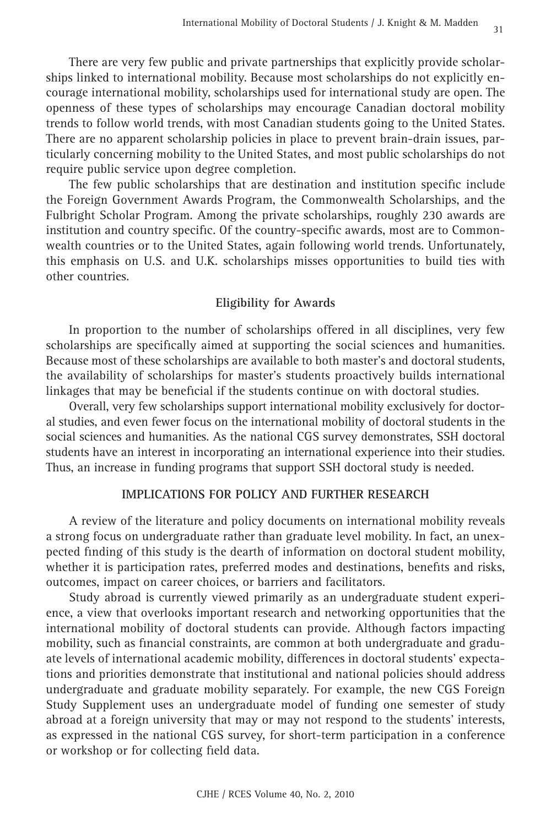There are very few public and private partnerships that explicitly provide scholarships linked to international mobility. Because most scholarships do not explicitly encourage international mobility, scholarships used for international study are open. The openness of these types of scholarships may encourage Canadian doctoral mobility trends to follow world trends, with most Canadian students going to the United States. There are no apparent scholarship policies in place to prevent brain-drain issues, particularly concerning mobility to the United States, and most public scholarships do not require public service upon degree completion.

The few public scholarships that are destination and institution specific include the Foreign Government Awards Program, the Commonwealth Scholarships, and the Fulbright Scholar Program. Among the private scholarships, roughly 230 awards are institution and country specific. Of the country-specific awards, most are to Commonwealth countries or to the United States, again following world trends. Unfortunately, this emphasis on U.S. and U.K. scholarships misses opportunities to build ties with other countries.

#### **Eligibility for Awards**

In proportion to the number of scholarships offered in all disciplines, very few scholarships are specifically aimed at supporting the social sciences and humanities. Because most of these scholarships are available to both master's and doctoral students, the availability of scholarships for master's students proactively builds international linkages that may be beneficial if the students continue on with doctoral studies.

Overall, very few scholarships support international mobility exclusively for doctoral studies, and even fewer focus on the international mobility of doctoral students in the social sciences and humanities. As the national CGS survey demonstrates, SSH doctoral students have an interest in incorporating an international experience into their studies. Thus, an increase in funding programs that support SSH doctoral study is needed.

#### **IMPLICATIONS FOR POLICY AND FURTHER RESEARCH**

A review of the literature and policy documents on international mobility reveals a strong focus on undergraduate rather than graduate level mobility. In fact, an unexpected finding of this study is the dearth of information on doctoral student mobility, whether it is participation rates, preferred modes and destinations, benefits and risks, outcomes, impact on career choices, or barriers and facilitators.

Study abroad is currently viewed primarily as an undergraduate student experience, a view that overlooks important research and networking opportunities that the international mobility of doctoral students can provide. Although factors impacting mobility, such as financial constraints, are common at both undergraduate and graduate levels of international academic mobility, differences in doctoral students' expectations and priorities demonstrate that institutional and national policies should address undergraduate and graduate mobility separately. For example, the new CGS Foreign Study Supplement uses an undergraduate model of funding one semester of study abroad at a foreign university that may or may not respond to the students' interests, as expressed in the national CGS survey, for short-term participation in a conference or workshop or for collecting field data.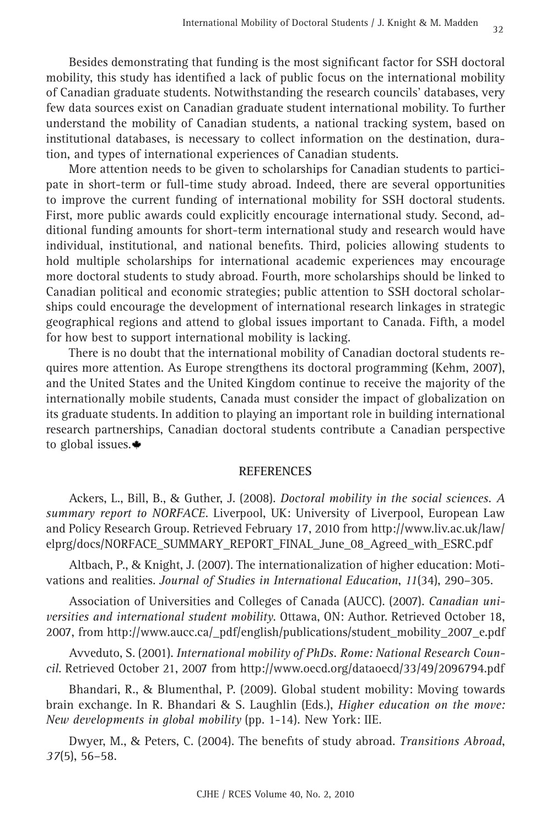Besides demonstrating that funding is the most significant factor for SSH doctoral mobility, this study has identified a lack of public focus on the international mobility of Canadian graduate students. Notwithstanding the research councils' databases, very few data sources exist on Canadian graduate student international mobility. To further understand the mobility of Canadian students, a national tracking system, based on institutional databases, is necessary to collect information on the destination, duration, and types of international experiences of Canadian students.

More attention needs to be given to scholarships for Canadian students to participate in short-term or full-time study abroad. Indeed, there are several opportunities to improve the current funding of international mobility for SSH doctoral students. First, more public awards could explicitly encourage international study. Second, additional funding amounts for short-term international study and research would have individual, institutional, and national benefits. Third, policies allowing students to hold multiple scholarships for international academic experiences may encourage more doctoral students to study abroad. Fourth, more scholarships should be linked to Canadian political and economic strategies; public attention to SSH doctoral scholarships could encourage the development of international research linkages in strategic geographical regions and attend to global issues important to Canada. Fifth, a model for how best to support international mobility is lacking.

There is no doubt that the international mobility of Canadian doctoral students requires more attention. As Europe strengthens its doctoral programming (Kehm, 2007), and the United States and the United Kingdom continue to receive the majority of the internationally mobile students, Canada must consider the impact of globalization on its graduate students. In addition to playing an important role in building international research partnerships, Canadian doctoral students contribute a Canadian perspective to global issues.

#### **REFERENCES**

Ackers, L., Bill, B., & Guther, J. (2008). *Doctoral mobility in the social sciences. A summary report to NORFACE*. Liverpool, UK: University of Liverpool, European Law and Policy Research Group. Retrieved February 17, 2010 from http://www.liv.ac.uk/law/ elprg/docs/NORFACE\_SUMMARY\_REPORT\_FINAL\_June\_08\_Agreed\_with\_ESRC.pdf

Altbach, P., & Knight, J. (2007). The internationalization of higher education: Motivations and realities. *Journal of Studies in International Education*, *11*(34), 290–305.

Association of Universities and Colleges of Canada (AUCC). (2007). *Canadian universities and international student mobility*. Ottawa, ON: Author. Retrieved October 18, 2007, from http://www.aucc.ca/\_pdf/english/publications/student\_mobility\_2007\_e.pdf

Avveduto, S. (2001). *International mobility of PhDs. Rome: National Research Council*. Retrieved October 21, 2007 from http://www.oecd.org/dataoecd/33/49/2096794.pdf

Bhandari, R., & Blumenthal, P. (2009). Global student mobility: Moving towards brain exchange. In R. Bhandari & S. Laughlin (Eds.), *Higher education on the move: New developments in global mobility* (pp. 1-14)*.* New York: IIE.

Dwyer, M., & Peters, C. (2004). The benefits of study abroad. *Transitions Abroad*, *37*(5), 56–58.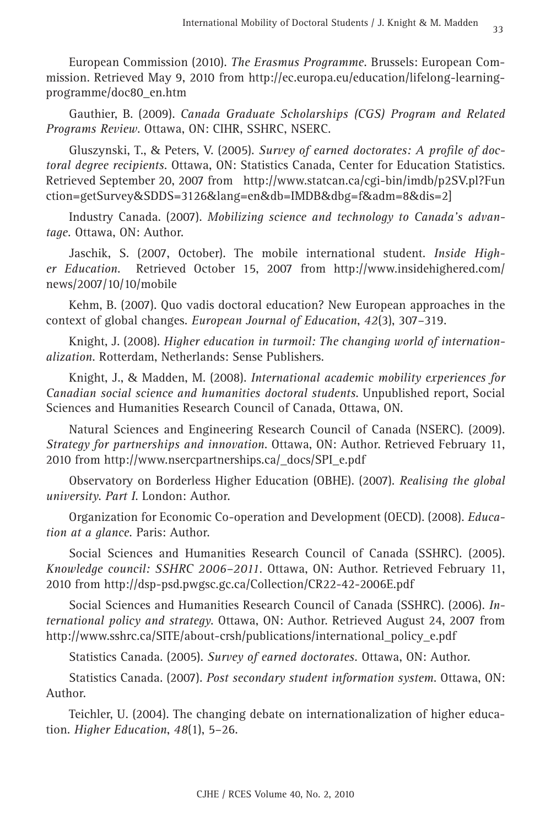European Commission (2010). *The Erasmus Programme.* Brussels: European Commission. Retrieved May 9, 2010 from http://ec.europa.eu/education/lifelong-learningprogramme/doc80\_en.htm

Gauthier, B. (2009). *Canada Graduate Scholarships (CGS) Program and Related Programs Review*. Ottawa, ON: CIHR, SSHRC, NSERC.

Gluszynski, T., & Peters, V. (2005). *Survey of earned doctorates: A profile of doctoral degree recipients*. Ottawa, ON: Statistics Canada, Center for Education Statistics. Retrieved September 20, 2007 from http://www.statcan.ca/cgi-bin/imdb/p2SV.pl?Fun ction=getSurvey&SDDS=3126&lang=en&db=IMDB&dbg=f&adm=8&dis=2]

Industry Canada. (2007). *Mobilizing science and technology to Canada's advantage.* Ottawa, ON: Author.

Jaschik, S. (2007, October). The mobile international student. *Inside Higher Education*. Retrieved October 15, 2007 from http://www.insidehighered.com/ news/2007/10/10/mobile

Kehm, B. (2007). Quo vadis doctoral education? New European approaches in the context of global changes. *European Journal of Education*, *42*(3), 307–319.

Knight, J. (2008). *Higher education in turmoil: The changing world of internationalization*. Rotterdam, Netherlands: Sense Publishers.

Knight, J., & Madden, M. (2008). *International academic mobility experiences for Canadian social science and humanities doctoral students*. Unpublished report, Social Sciences and Humanities Research Council of Canada, Ottawa, ON.

Natural Sciences and Engineering Research Council of Canada (NSERC). (2009). *Strategy for partnerships and innovation*. Ottawa, ON: Author. Retrieved February 11, 2010 from http://www.nsercpartnerships.ca/\_docs/SPI\_e.pdf

Observatory on Borderless Higher Education (OBHE). (2007). *Realising the global university*. *Part I*. London: Author.

Organization for Economic Co-operation and Development (OECD). (2008). *Education at a glance.* Paris: Author.

Social Sciences and Humanities Research Council of Canada (SSHRC). (2005). *Knowledge council: SSHRC 2006–2011*. Ottawa, ON: Author. Retrieved February 11, 2010 from http://dsp-psd.pwgsc.gc.ca/Collection/CR22-42-2006E.pdf

Social Sciences and Humanities Research Council of Canada (SSHRC). (2006). *International policy and strategy*. Ottawa, ON: Author. Retrieved August 24, 2007 from http://www.sshrc.ca/SITE/about-crsh/publications/international\_policy\_e.pdf

Statistics Canada. (2005). *Survey of earned doctorates.* Ottawa, ON: Author.

Statistics Canada. (2007). *Post secondary student information system*. Ottawa, ON: Author.

Teichler, U. (2004). The changing debate on internationalization of higher education. *Higher Education*, *48*(1), 5–26.